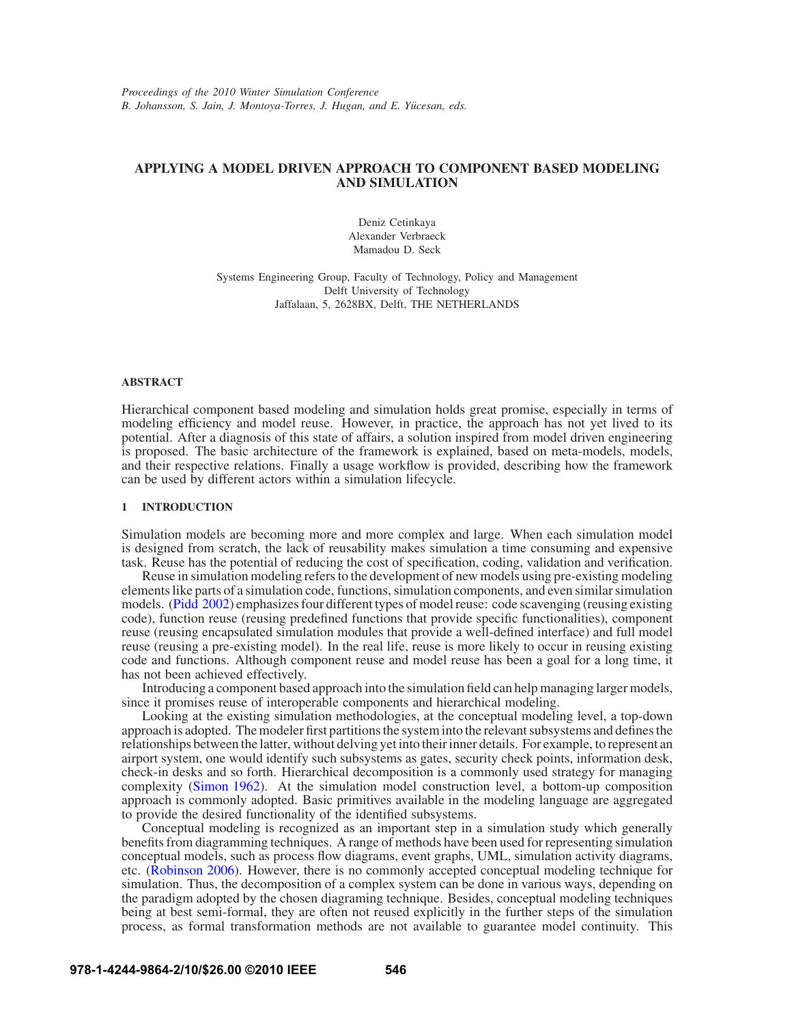# **APPLYING A MODEL DRIVEN APPROACH TO COMPONENT BASED MODELING AND SIMULATION**

Deniz Cetinkaya Alexander Verbraeck Mamadou D. Seck

Systems Engineering Group, Faculty of Technology, Policy and Management Delft University of Technology Jaffalaan, 5, 2628BX, Delft, THE NETHERLANDS

### **ABSTRACT**

Hierarchical component based modeling and simulation holds great promise, especially in terms of modeling efficiency and model reuse. However, in practice, the approach has not yet lived to its potential. After a diagnosis of this state of affairs, a solution inspired from model driven engineering is proposed. The basic architecture of the framework is explained, based on meta-models, models, and their respective relations. Finally a usage workflow is provided, describing how the framework can be used by different actors within a simulation lifecycle.

### **1 INTRODUCTION**

Simulation models are becoming more and more complex and large. When each simulation model is designed from scratch, the lack of reusability makes simulation a time consuming and expensive task. Reuse has the potential of reducing the cost of specification, coding, validation and verification.

Reuse in simulation modeling refers to the development of new models using pre-existing modeling elements like parts of a simulation code, functions, simulation components, and even similar simulation models. (Pidd 2002) emphasizes four different types of model reuse: code scavenging (reusing existing code), function reuse (reusing predefined functions that provide specific functionalities), component reuse (reusing encapsulated simulation modules that provide a well-defined interface) and full model reuse (reusing a pre-existing model). In the real life, reuse is more likely to occur in reusing existing code and functions. Although component reuse and model reuse has been a goal for a long time, it has not been achieved effectively.

Introducing a component based approach into the simulation field can help managing larger models, since it promises reuse of interoperable components and hierarchical modeling.

Looking at the existing simulation methodologies, at the conceptual modeling level, a top-down approach is adopted. The modeler first partitions the system into the relevant subsystems and defines the relationships between the latter, without delving yet into their inner details. For example, to represent an airport system, one would identify such subsystems as gates, security check points, information desk, check-in desks and so forth. Hierarchical decomposition is a commonly used strategy for managing complexity (Simon 1962). At the simulation model construction level, a bottom-up composition approach is commonly adopted. Basic primitives available in the modeling language are aggregated to provide the desired functionality of the identified subsystems.

Conceptual modeling is recognized as an important step in a simulation study which generally benefits from diagramming techniques. A range of methods have been used for representing simulation conceptual models, such as process flow diagrams, event graphs, UML, simulation activity diagrams, etc. (Robinson 2006). However, there is no commonly accepted conceptual modeling technique for simulation. Thus, the decomposition of a complex system can be done in various ways, depending on the paradigm adopted by the chosen diagraming technique. Besides, conceptual modeling techniques being at best semi-formal, they are often not reused explicitly in the further steps of the simulation process, as formal transformation methods are not available to guarantee model continuity. This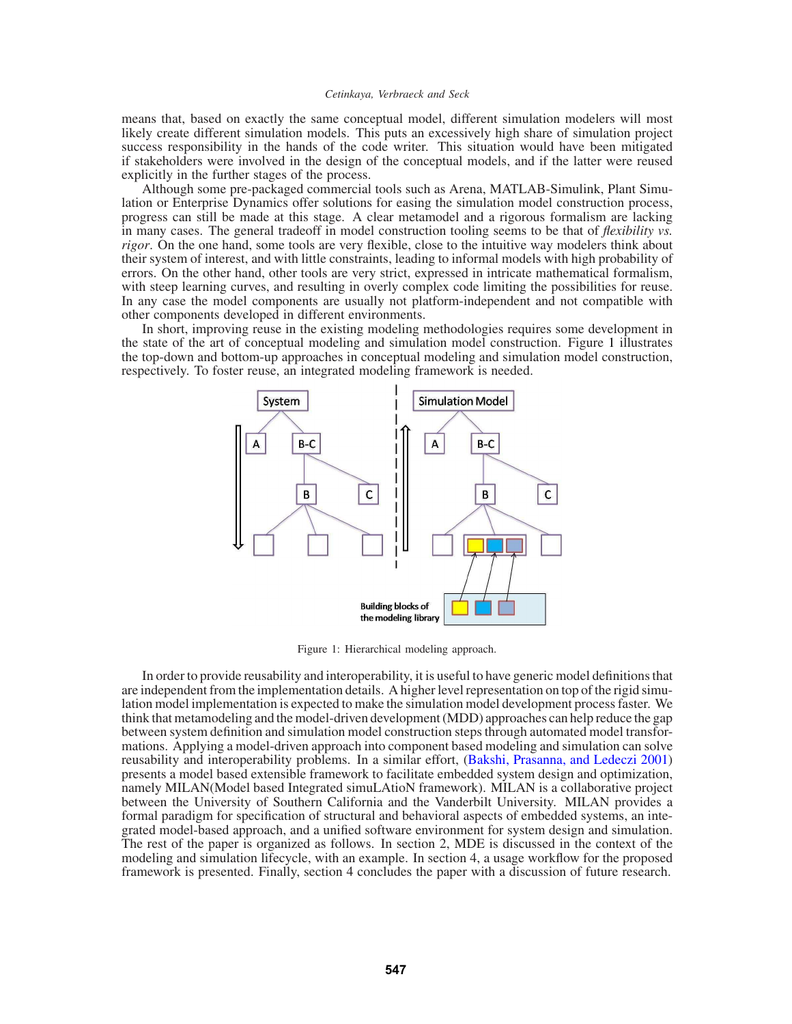means that, based on exactly the same conceptual model, different simulation modelers will most likely create different simulation models. This puts an excessively high share of simulation project success responsibility in the hands of the code writer. This situation would have been mitigated if stakeholders were involved in the design of the conceptual models, and if the latter were reused explicitly in the further stages of the process.

Although some pre-packaged commercial tools such as Arena, MATLAB-Simulink, Plant Simulation or Enterprise Dynamics offer solutions for easing the simulation model construction process, progress can still be made at this stage. A clear metamodel and a rigorous formalism are lacking in many cases. The general tradeoff in model construction tooling seems to be that of *flexibility vs. rigor*. On the one hand, some tools are very flexible, close to the intuitive way modelers think about their system of interest, and with little constraints, leading to informal models with high probability of errors. On the other hand, other tools are very strict, expressed in intricate mathematical formalism, with steep learning curves, and resulting in overly complex code limiting the possibilities for reuse. In any case the model components are usually not platform-independent and not compatible with other components developed in different environments.

In short, improving reuse in the existing modeling methodologies requires some development in the state of the art of conceptual modeling and simulation model construction. Figure 1 illustrates the top-down and bottom-up approaches in conceptual modeling and simulation model construction, respectively. To foster reuse, an integrated modeling framework is needed.



Figure 1: Hierarchical modeling approach.

In order to provide reusability and interoperability, it is useful to have generic model definitions that are independent from the implementation details. A higher level representation on top of the rigid simulation model implementation is expected to make the simulation model development process faster. We think that metamodeling and the model-driven development (MDD) approaches can help reduce the gap between system definition and simulation model construction steps through automated model transformations. Applying a model-driven approach into component based modeling and simulation can solve reusability and interoperability problems. In a similar effort, (Bakshi, Prasanna, and Ledeczi 2001) presents a model based extensible framework to facilitate embedded system design and optimization, namely MILAN(Model based Integrated simuLAtioN framework). MILAN is a collaborative project between the University of Southern California and the Vanderbilt University. MILAN provides a formal paradigm for specification of structural and behavioral aspects of embedded systems, an integrated model-based approach, and a unified software environment for system design and simulation. The rest of the paper is organized as follows. In section 2, MDE is discussed in the context of the modeling and simulation lifecycle, with an example. In section 4, a usage workflow for the proposed framework is presented. Finally, section 4 concludes the paper with a discussion of future research.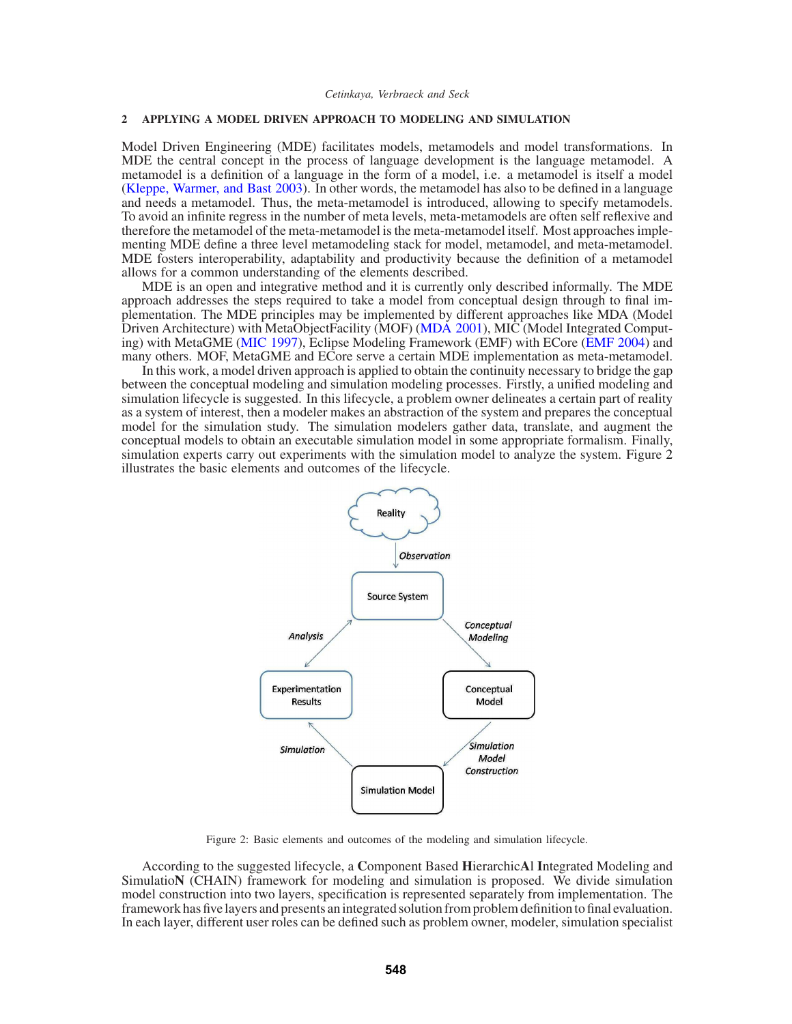### **2 APPLYING A MODEL DRIVEN APPROACH TO MODELING AND SIMULATION**

Model Driven Engineering (MDE) facilitates models, metamodels and model transformations. In MDE the central concept in the process of language development is the language metamodel. A metamodel is a definition of a language in the form of a model, i.e. a metamodel is itself a model (Kleppe, Warmer, and Bast 2003). In other words, the metamodel has also to be defined in a language and needs a metamodel. Thus, the meta-metamodel is introduced, allowing to specify metamodels. To avoid an infinite regress in the number of meta levels, meta-metamodels are often self reflexive and therefore the metamodel of the meta-metamodel is the meta-metamodel itself. Most approaches implementing MDE define a three level metamodeling stack for model, metamodel, and meta-metamodel. MDE fosters interoperability, adaptability and productivity because the definition of a metamodel allows for a common understanding of the elements described.

MDE is an open and integrative method and it is currently only described informally. The MDE approach addresses the steps required to take a model from conceptual design through to final implementation. The MDE principles may be implemented by different approaches like MDA (Model Driven Architecture) with MetaObjectFacility (MOF) (MDA 2001), MIC (Model Integrated Computing) with MetaGME (MIC 1997), Eclipse Modeling Framework (EMF) with ECore (EMF 2004) and many others. MOF, MetaGME and ECore serve a certain MDE implementation as meta-metamodel.

In this work, a model driven approach is applied to obtain the continuity necessary to bridge the gap between the conceptual modeling and simulation modeling processes. Firstly, a unified modeling and simulation lifecycle is suggested. In this lifecycle, a problem owner delineates a certain part of reality as a system of interest, then a modeler makes an abstraction of the system and prepares the conceptual model for the simulation study. The simulation modelers gather data, translate, and augment the conceptual models to obtain an executable simulation model in some appropriate formalism. Finally, simulation experts carry out experiments with the simulation model to analyze the system. Figure 2 illustrates the basic elements and outcomes of the lifecycle.



Figure 2: Basic elements and outcomes of the modeling and simulation lifecycle.

According to the suggested lifecycle, a **C**omponent Based **H**ierarchic**A**l **I**ntegrated Modeling and Simulatio**N** (CHAIN) framework for modeling and simulation is proposed. We divide simulation model construction into two layers, specification is represented separately from implementation. The framework has five layers and presents an integrated solution from problem definition to final evaluation. In each layer, different user roles can be defined such as problem owner, modeler, simulation specialist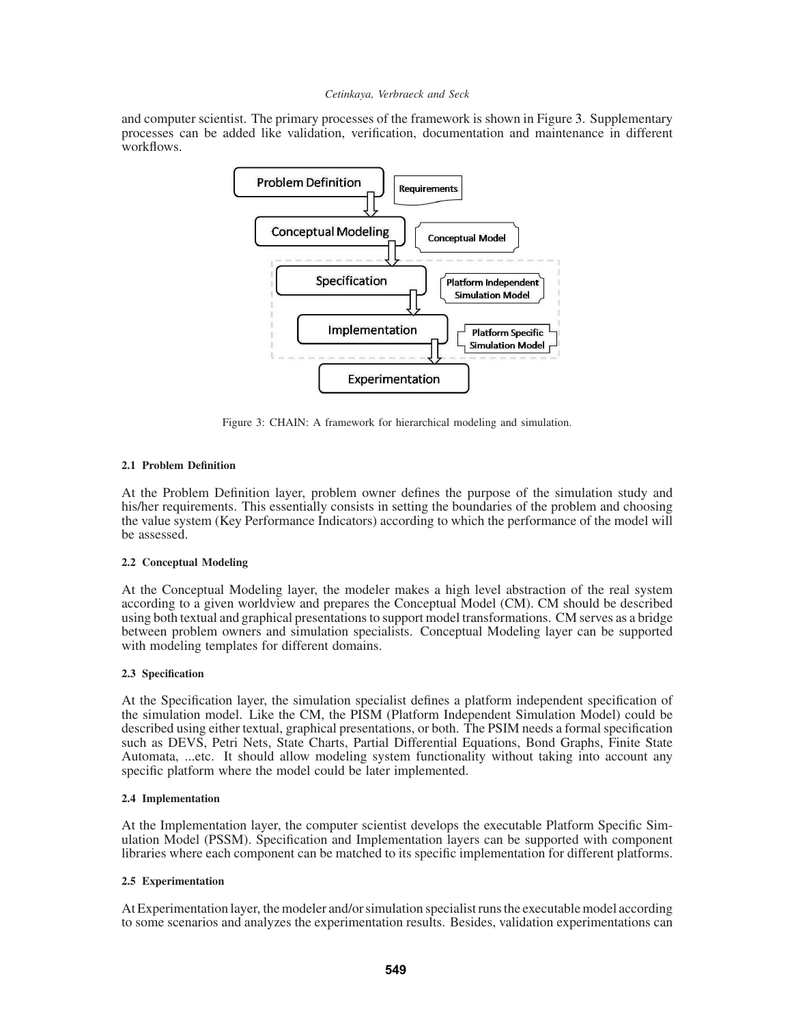and computer scientist. The primary processes of the framework is shown in Figure 3. Supplementary processes can be added like validation, verification, documentation and maintenance in different workflows.



Figure 3: CHAIN: A framework for hierarchical modeling and simulation.

# **2.1 Problem Definition**

At the Problem Definition layer, problem owner defines the purpose of the simulation study and his/her requirements. This essentially consists in setting the boundaries of the problem and choosing the value system (Key Performance Indicators) according to which the performance of the model will be assessed.

# **2.2 Conceptual Modeling**

At the Conceptual Modeling layer, the modeler makes a high level abstraction of the real system according to a given worldview and prepares the Conceptual Model (CM). CM should be described using both textual and graphical presentations to support model transformations. CM serves as a bridge between problem owners and simulation specialists. Conceptual Modeling layer can be supported with modeling templates for different domains.

# **2.3 Specification**

At the Specification layer, the simulation specialist defines a platform independent specification of the simulation model. Like the CM, the PISM (Platform Independent Simulation Model) could be described using either textual, graphical presentations, or both. The PSIM needs a formal specification such as DEVS, Petri Nets, State Charts, Partial Differential Equations, Bond Graphs, Finite State Automata, ...etc. It should allow modeling system functionality without taking into account any specific platform where the model could be later implemented.

# **2.4 Implementation**

At the Implementation layer, the computer scientist develops the executable Platform Specific Simulation Model (PSSM). Specification and Implementation layers can be supported with component libraries where each component can be matched to its specific implementation for different platforms.

# **2.5 Experimentation**

At Experimentation layer, the modeler and/or simulation specialist runs the executable model according to some scenarios and analyzes the experimentation results. Besides, validation experimentations can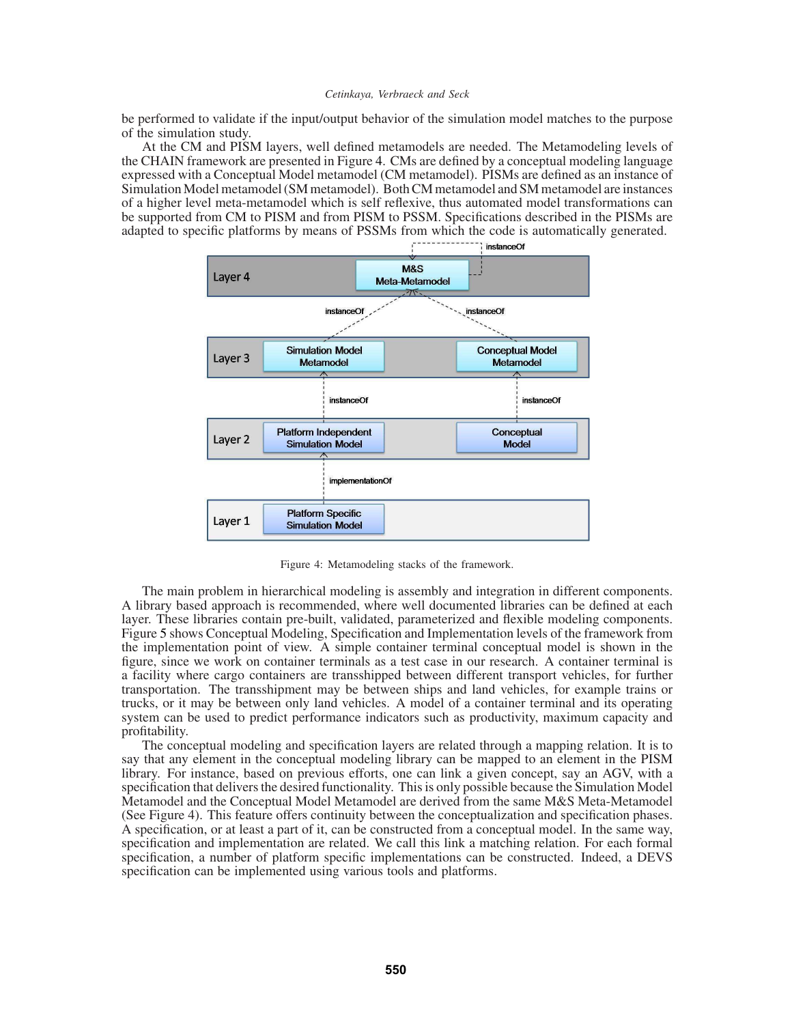be performed to validate if the input/output behavior of the simulation model matches to the purpose of the simulation study.

At the CM and PISM layers, well defined metamodels are needed. The Metamodeling levels of the CHAIN framework are presented in Figure 4. CMs are defined by a conceptual modeling language expressed with a Conceptual Model metamodel (CM metamodel). PISMs are defined as an instance of Simulation Model metamodel (SM metamodel). Both CM metamodel and SM metamodel are instances of a higher level meta-metamodel which is self reflexive, thus automated model transformations can be supported from CM to PISM and from PISM to PSSM. Specifications described in the PISMs are adapted to specific platforms by means of PSSMs from which the code is automatically generated.



Figure 4: Metamodeling stacks of the framework.

The main problem in hierarchical modeling is assembly and integration in different components. A library based approach is recommended, where well documented libraries can be defined at each layer. These libraries contain pre-built, validated, parameterized and flexible modeling components. Figure 5 shows Conceptual Modeling, Specification and Implementation levels of the framework from the implementation point of view. A simple container terminal conceptual model is shown in the figure, since we work on container terminals as a test case in our research. A container terminal is a facility where cargo containers are transshipped between different transport vehicles, for further transportation. The transshipment may be between ships and land vehicles, for example trains or trucks, or it may be between only land vehicles. A model of a container terminal and its operating system can be used to predict performance indicators such as productivity, maximum capacity and profitability.

The conceptual modeling and specification layers are related through a mapping relation. It is to say that any element in the conceptual modeling library can be mapped to an element in the PISM library. For instance, based on previous efforts, one can link a given concept, say an AGV, with a specification that delivers the desired functionality. This is only possible because the Simulation Model Metamodel and the Conceptual Model Metamodel are derived from the same M&S Meta-Metamodel (See Figure 4). This feature offers continuity between the conceptualization and specification phases. A specification, or at least a part of it, can be constructed from a conceptual model. In the same way, specification and implementation are related. We call this link a matching relation. For each formal specification, a number of platform specific implementations can be constructed. Indeed, a DEVS specification can be implemented using various tools and platforms.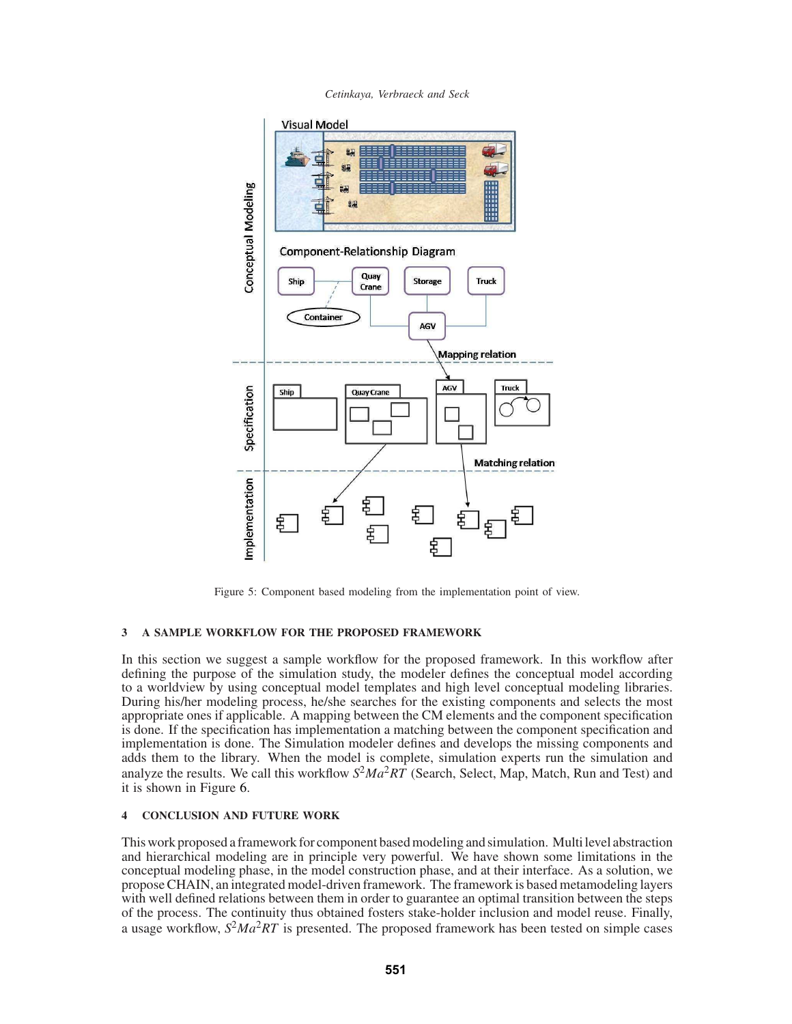*Cetinkaya, Verbraeck and Seck*



Figure 5: Component based modeling from the implementation point of view.

# **3 A SAMPLE WORKFLOW FOR THE PROPOSED FRAMEWORK**

In this section we suggest a sample workflow for the proposed framework. In this workflow after defining the purpose of the simulation study, the modeler defines the conceptual model according to a worldview by using conceptual model templates and high level conceptual modeling libraries. During his/her modeling process, he/she searches for the existing components and selects the most appropriate ones if applicable. A mapping between the CM elements and the component specification is done. If the specification has implementation a matching between the component specification and implementation is done. The Simulation modeler defines and develops the missing components and adds them to the library. When the model is complete, simulation experts run the simulation and analyze the results. We call this workflow  $S^2Ma^2RT$  (Search, Select, Map, Match, Run and Test) and it is shown in Figure 6.

## **4 CONCLUSION AND FUTURE WORK**

This work proposed a framework for component based modeling and simulation. Multi level abstraction and hierarchical modeling are in principle very powerful. We have shown some limitations in the conceptual modeling phase, in the model construction phase, and at their interface. As a solution, we propose CHAIN, an integrated model-driven framework. The framework is based metamodeling layers with well defined relations between them in order to guarantee an optimal transition between the steps of the process. The continuity thus obtained fosters stake-holder inclusion and model reuse. Finally, a usage workflow, *S*2*Ma*2*RT* is presented. The proposed framework has been tested on simple cases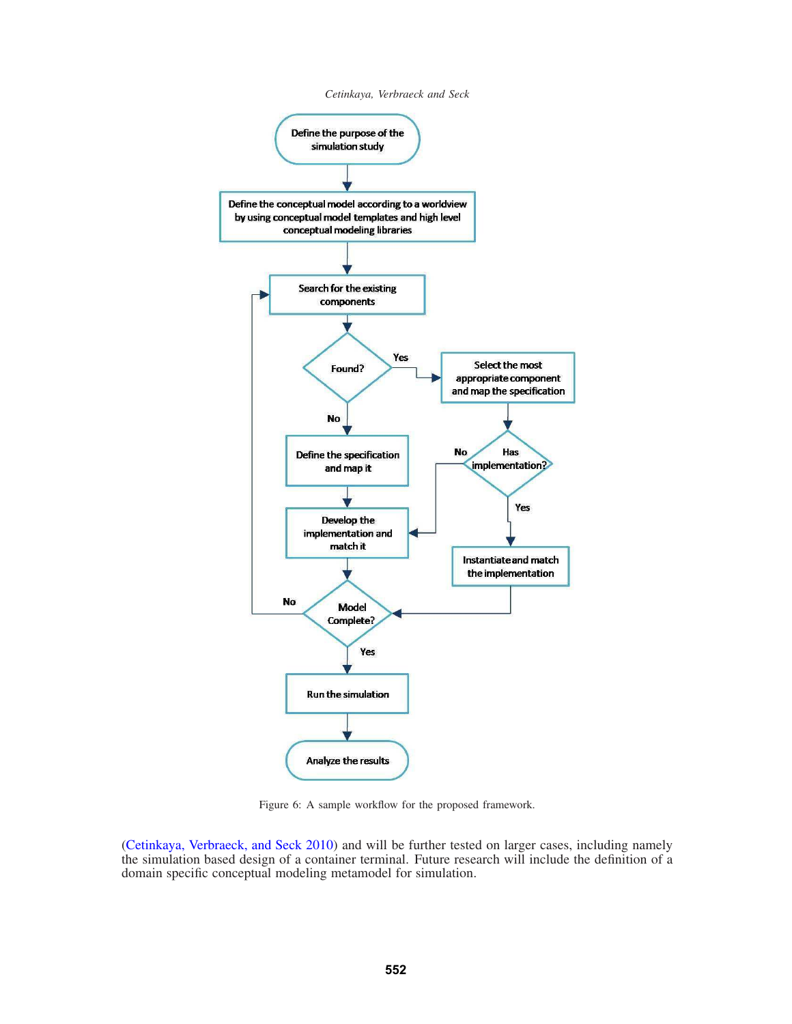

Figure 6: A sample workflow for the proposed framework.

(Cetinkaya, Verbraeck, and Seck 2010) and will be further tested on larger cases, including namely the simulation based design of a container terminal. Future research will include the definition of a domain specific conceptual modeling metamodel for simulation.